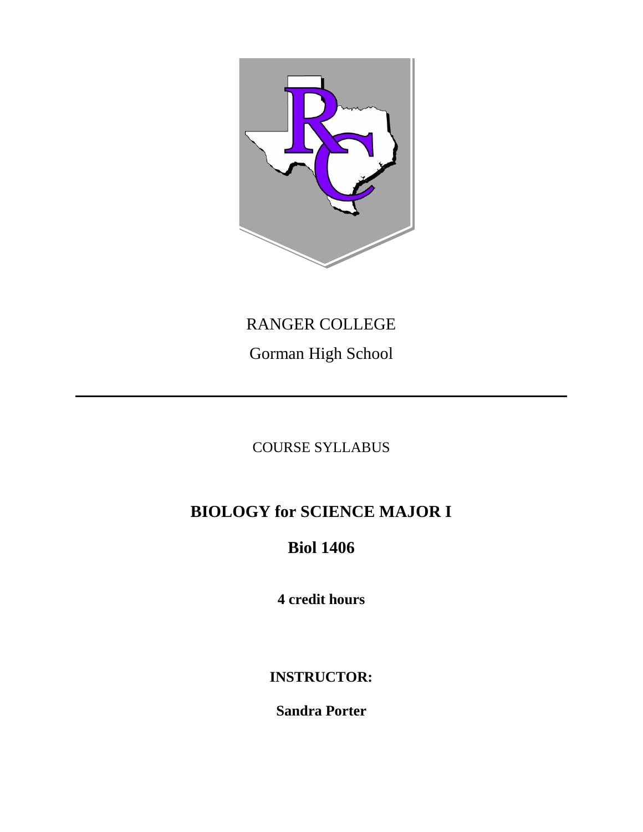

# RANGER COLLEGE

Gorman High School

# COURSE SYLLABUS

# **BIOLOGY for SCIENCE MAJOR I**

# **Biol 1406**

**4 credit hours**

**INSTRUCTOR:**

**Sandra Porter**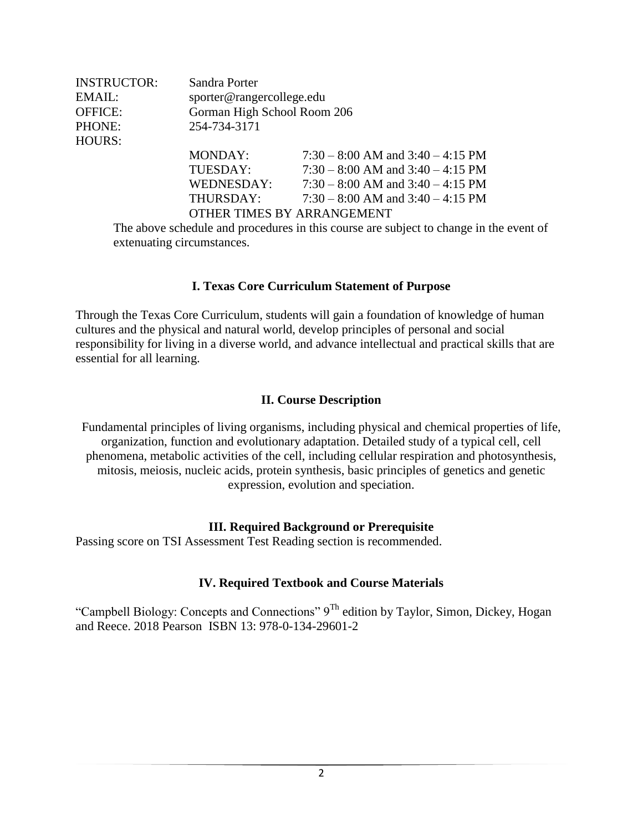| <b>INSTRUCTOR:</b><br>EMAIL:<br><b>OFFICE:</b><br>PHONE: | Sandra Porter<br>sporter@rangercollege.edu<br>Gorman High School Room 206<br>254-734-3171 |                                                                                 |  |
|----------------------------------------------------------|-------------------------------------------------------------------------------------------|---------------------------------------------------------------------------------|--|
| <b>HOURS:</b>                                            |                                                                                           |                                                                                 |  |
|                                                          | MONDAY:                                                                                   | $7:30 - 8:00$ AM and $3:40 - 4:15$ PM                                           |  |
|                                                          | TUESDAY:                                                                                  | $7:30 - 8:00$ AM and $3:40 - 4:15$ PM                                           |  |
|                                                          | WEDNESDAY:                                                                                | $7:30 - 8:00$ AM and $3:40 - 4:15$ PM                                           |  |
|                                                          | THURSDAY:                                                                                 | $7:30 - 8:00$ AM and $3:40 - 4:15$ PM                                           |  |
|                                                          |                                                                                           | OTHER TIMES BY ARRANGEMENT                                                      |  |
|                                                          |                                                                                           | The above schedule and procedures in this course are subject to change in the e |  |

The above schedule and procedures in this course are subject to change in the event of extenuating circumstances.

#### **I. Texas Core Curriculum Statement of Purpose**

Through the Texas Core Curriculum, students will gain a foundation of knowledge of human cultures and the physical and natural world, develop principles of personal and social responsibility for living in a diverse world, and advance intellectual and practical skills that are essential for all learning.

#### **II. Course Description**

Fundamental principles of living organisms, including physical and chemical properties of life, organization, function and evolutionary adaptation. Detailed study of a typical cell, cell phenomena, metabolic activities of the cell, including cellular respiration and photosynthesis, mitosis, meiosis, nucleic acids, protein synthesis, basic principles of genetics and genetic expression, evolution and speciation.

#### **III. Required Background or Prerequisite**

Passing score on TSI Assessment Test Reading section is recommended.

#### **IV. Required Textbook and Course Materials**

"Campbell Biology: Concepts and Connections"  $9^{Th}$  edition by Taylor, Simon, Dickey, Hogan and Reece. 2018 Pearson ISBN 13: 978-0-134-29601-2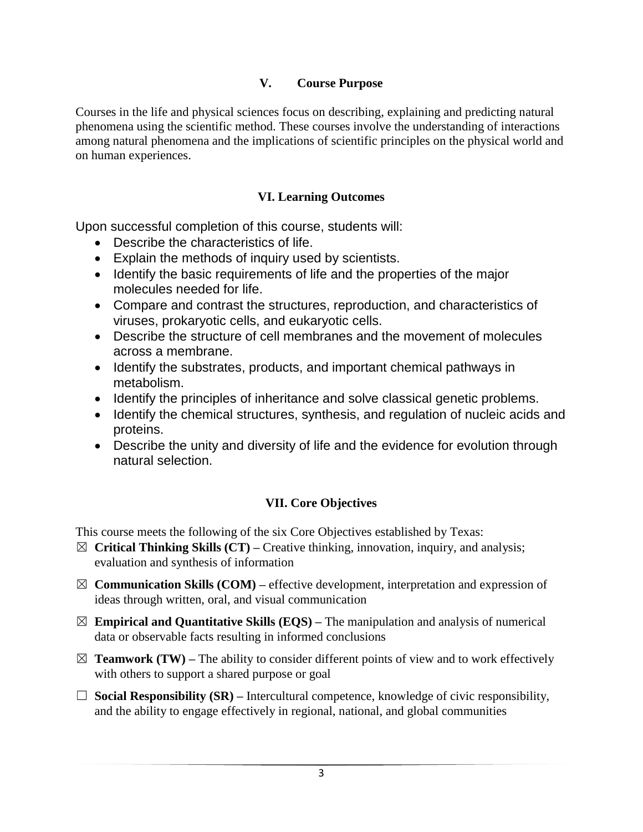#### **V. Course Purpose**

Courses in the life and physical sciences focus on describing, explaining and predicting natural phenomena using the scientific method. These courses involve the understanding of interactions among natural phenomena and the implications of scientific principles on the physical world and on human experiences.

#### **VI. Learning Outcomes**

Upon successful completion of this course, students will:

- Describe the characteristics of life.
- Explain the methods of inquiry used by scientists.
- Identify the basic requirements of life and the properties of the major molecules needed for life.
- Compare and contrast the structures, reproduction, and characteristics of viruses, prokaryotic cells, and eukaryotic cells.
- Describe the structure of cell membranes and the movement of molecules across a membrane.
- Identify the substrates, products, and important chemical pathways in metabolism.
- Identify the principles of inheritance and solve classical genetic problems.
- Identify the chemical structures, synthesis, and regulation of nucleic acids and proteins.
- Describe the unity and diversity of life and the evidence for evolution through natural selection.

### **VII. Core Objectives**

This course meets the following of the six Core Objectives established by Texas:

- ☒ **Critical Thinking Skills (CT) –** Creative thinking, innovation, inquiry, and analysis; evaluation and synthesis of information
- $\boxtimes$  **Communication Skills (COM)** effective development, interpretation and expression of ideas through written, oral, and visual communication
- $\boxtimes$  **Empirical and Quantitative Skills (EQS)** The manipulation and analysis of numerical data or observable facts resulting in informed conclusions
- $\boxtimes$  **Teamwork (TW)** The ability to consider different points of view and to work effectively with others to support a shared purpose or goal
- $\Box$  **Social Responsibility (SR)** Intercultural competence, knowledge of civic responsibility, and the ability to engage effectively in regional, national, and global communities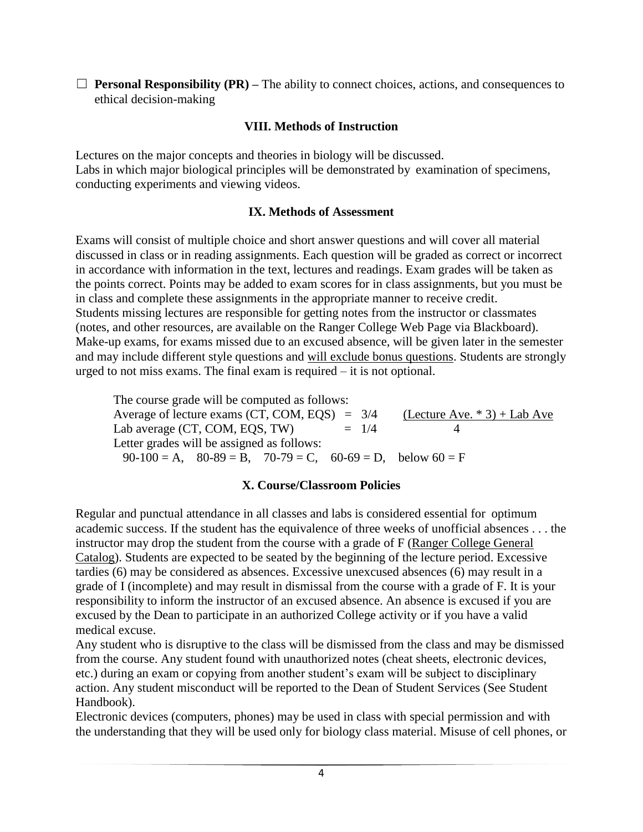$\Box$  **Personal Responsibility (PR)** – The ability to connect choices, actions, and consequences to ethical decision-making

#### **VIII. Methods of Instruction**

Lectures on the major concepts and theories in biology will be discussed. Labs in which major biological principles will be demonstrated by examination of specimens, conducting experiments and viewing videos.

#### **IX. Methods of Assessment**

Exams will consist of multiple choice and short answer questions and will cover all material discussed in class or in reading assignments. Each question will be graded as correct or incorrect in accordance with information in the text, lectures and readings. Exam grades will be taken as the points correct. Points may be added to exam scores for in class assignments, but you must be in class and complete these assignments in the appropriate manner to receive credit. Students missing lectures are responsible for getting notes from the instructor or classmates (notes, and other resources, are available on the Ranger College Web Page via Blackboard). Make-up exams, for exams missed due to an excused absence, will be given later in the semester and may include different style questions and will exclude bonus questions. Students are strongly urged to not miss exams. The final exam is required – it is not optional.

The course grade will be computed as follows: Average of lecture exams (CT, COM, EQS) =  $3/4$  (Lecture Ave. \* 3) + Lab Ave<br>Lab average (CT, COM, EOS, TW) =  $1/4$  4 Lab average (CT, COM, EQS, TW)  $= 1/4$  Letter grades will be assigned as follows:  $90-100 = A$ ,  $80-89 = B$ ,  $70-79 = C$ ,  $60-69 = D$ , below  $60 = F$ 

### **X. Course/Classroom Policies**

Regular and punctual attendance in all classes and labs is considered essential for optimum academic success. If the student has the equivalence of three weeks of unofficial absences . . . the instructor may drop the student from the course with a grade of F (Ranger College General Catalog). Students are expected to be seated by the beginning of the lecture period. Excessive tardies (6) may be considered as absences. Excessive unexcused absences (6) may result in a grade of I (incomplete) and may result in dismissal from the course with a grade of F. It is your responsibility to inform the instructor of an excused absence. An absence is excused if you are excused by the Dean to participate in an authorized College activity or if you have a valid medical excuse.

Any student who is disruptive to the class will be dismissed from the class and may be dismissed from the course. Any student found with unauthorized notes (cheat sheets, electronic devices, etc.) during an exam or copying from another student's exam will be subject to disciplinary action. Any student misconduct will be reported to the Dean of Student Services (See Student Handbook).

Electronic devices (computers, phones) may be used in class with special permission and with the understanding that they will be used only for biology class material. Misuse of cell phones, or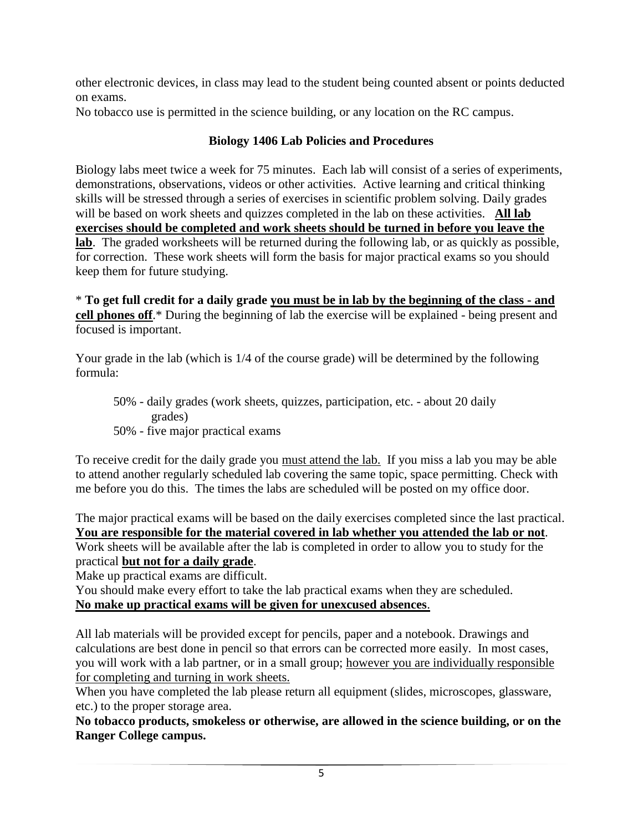other electronic devices, in class may lead to the student being counted absent or points deducted on exams.

No tobacco use is permitted in the science building, or any location on the RC campus.

# **Biology 1406 Lab Policies and Procedures**

Biology labs meet twice a week for 75 minutes. Each lab will consist of a series of experiments, demonstrations, observations, videos or other activities. Active learning and critical thinking skills will be stressed through a series of exercises in scientific problem solving. Daily grades will be based on work sheets and quizzes completed in the lab on these activities. **All lab exercises should be completed and work sheets should be turned in before you leave the lab**. The graded worksheets will be returned during the following lab, or as quickly as possible, for correction. These work sheets will form the basis for major practical exams so you should keep them for future studying.

\* **To get full credit for a daily grade you must be in lab by the beginning of the class - and cell phones off**.\* During the beginning of lab the exercise will be explained - being present and focused is important.

Your grade in the lab (which is 1/4 of the course grade) will be determined by the following formula:

50% - daily grades (work sheets, quizzes, participation, etc. - about 20 daily grades) 50% - five major practical exams

To receive credit for the daily grade you must attend the lab. If you miss a lab you may be able to attend another regularly scheduled lab covering the same topic, space permitting. Check with me before you do this. The times the labs are scheduled will be posted on my office door.

The major practical exams will be based on the daily exercises completed since the last practical. **You are responsible for the material covered in lab whether you attended the lab or not**. Work sheets will be available after the lab is completed in order to allow you to study for the practical **but not for a daily grade**.

Make up practical exams are difficult.

You should make every effort to take the lab practical exams when they are scheduled. **No make up practical exams will be given for unexcused absences**.

All lab materials will be provided except for pencils, paper and a notebook. Drawings and calculations are best done in pencil so that errors can be corrected more easily. In most cases, you will work with a lab partner, or in a small group; however you are individually responsible for completing and turning in work sheets.

When you have completed the lab please return all equipment (slides, microscopes, glassware, etc.) to the proper storage area.

**No tobacco products, smokeless or otherwise, are allowed in the science building, or on the Ranger College campus.**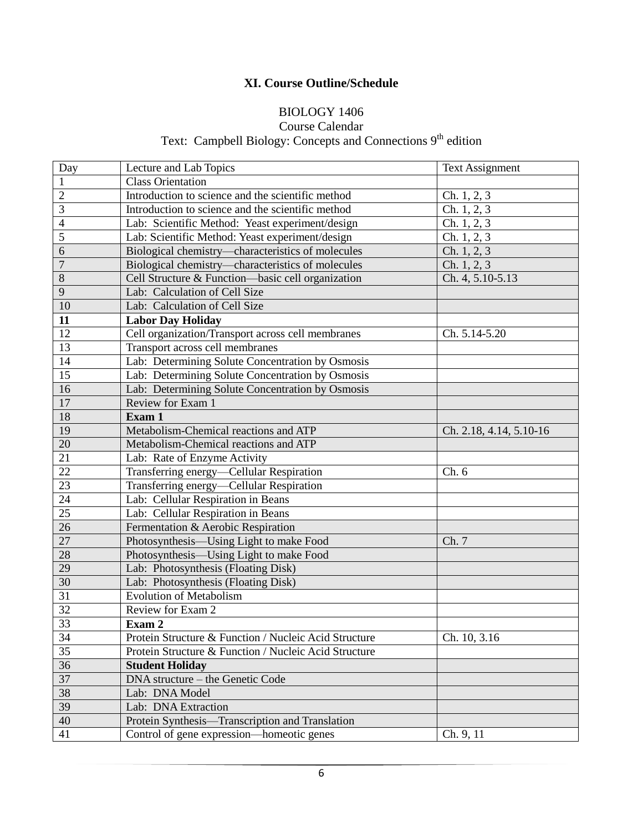## **XI. Course Outline/Schedule**

## BIOLOGY 1406

#### Course Calendar

Text: Campbell Biology: Concepts and Connections 9<sup>th</sup> edition

| Day             | Lecture and Lab Topics                                | <b>Text Assignment</b>  |
|-----------------|-------------------------------------------------------|-------------------------|
| $\mathbf{1}$    | <b>Class Orientation</b>                              |                         |
| $\overline{2}$  | Introduction to science and the scientific method     | Ch. 1, 2, 3             |
| 3               | Introduction to science and the scientific method     | Ch. $1, 2, 3$           |
| $\overline{4}$  | Lab: Scientific Method: Yeast experiment/design       | Ch. 1, 2, 3             |
| 5               | Lab: Scientific Method: Yeast experiment/design       | Ch. 1, 2, 3             |
| 6               | Biological chemistry-characteristics of molecules     | Ch. 1, 2, 3             |
| $\overline{7}$  | Biological chemistry-characteristics of molecules     | Ch. 1, 2, 3             |
| 8               | Cell Structure & Function-basic cell organization     | Ch. 4, 5.10-5.13        |
| 9               | Lab: Calculation of Cell Size                         |                         |
| 10              | Lab: Calculation of Cell Size                         |                         |
| 11              | <b>Labor Day Holiday</b>                              |                         |
| 12              | Cell organization/Transport across cell membranes     | Ch. 5.14-5.20           |
| $\overline{13}$ | Transport across cell membranes                       |                         |
| 14              | Lab: Determining Solute Concentration by Osmosis      |                         |
| $\overline{15}$ | Lab: Determining Solute Concentration by Osmosis      |                         |
| 16              | Lab: Determining Solute Concentration by Osmosis      |                         |
| 17              | Review for Exam 1                                     |                         |
| 18              | Exam 1                                                |                         |
| 19              | Metabolism-Chemical reactions and ATP                 | Ch. 2.18, 4.14, 5.10-16 |
| 20              | Metabolism-Chemical reactions and ATP                 |                         |
| 21              | Lab: Rate of Enzyme Activity                          |                         |
| 22              | Transferring energy-Cellular Respiration              | Ch.6                    |
| $\overline{23}$ | Transferring energy-Cellular Respiration              |                         |
| 24              | Lab: Cellular Respiration in Beans                    |                         |
| 25              | Lab: Cellular Respiration in Beans                    |                         |
| $\overline{26}$ | Fermentation & Aerobic Respiration                    |                         |
| $27\,$          | Photosynthesis-Using Light to make Food               | Ch. 7                   |
| 28              | Photosynthesis—Using Light to make Food               |                         |
| 29              | Lab: Photosynthesis (Floating Disk)                   |                         |
| 30              | Lab: Photosynthesis (Floating Disk)                   |                         |
| 31              | <b>Evolution of Metabolism</b>                        |                         |
| $\overline{32}$ | Review for Exam 2                                     |                         |
| 33              | Exam 2                                                |                         |
| 34              | Protein Structure & Function / Nucleic Acid Structure | Ch. 10, 3.16            |
| 35              | Protein Structure & Function / Nucleic Acid Structure |                         |
| 36              | <b>Student Holiday</b>                                |                         |
| 37              | DNA structure - the Genetic Code                      |                         |
| 38              | Lab: DNA Model                                        |                         |
| 39              | Lab: DNA Extraction                                   |                         |
| 40              | Protein Synthesis-Transcription and Translation       |                         |
| 41              | Control of gene expression-homeotic genes             | Ch. 9, 11               |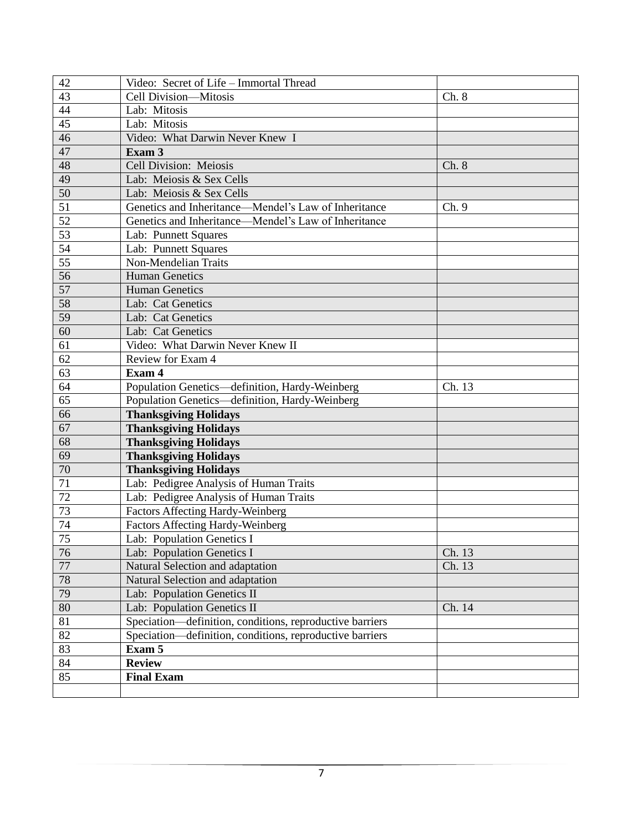| 42              | Video: Secret of Life - Immortal Thread                  |        |
|-----------------|----------------------------------------------------------|--------|
| $\overline{43}$ | Cell Division-Mitosis                                    | Ch. 8  |
| 44              | Lab: Mitosis                                             |        |
| $\overline{45}$ | Lab: Mitosis                                             |        |
| 46              | Video: What Darwin Never Knew I                          |        |
| 47              | Exam 3                                                   |        |
| 48              | Cell Division: Meiosis                                   | Ch. 8  |
| 49              | Lab: Meiosis & Sex Cells                                 |        |
| 50              | Lab: Meiosis & Sex Cells                                 |        |
| $\overline{51}$ | Genetics and Inheritance—Mendel's Law of Inheritance     | Ch. 9  |
| 52              | Genetics and Inheritance—Mendel's Law of Inheritance     |        |
| $\overline{53}$ | Lab: Punnett Squares                                     |        |
| 54              | Lab: Punnett Squares                                     |        |
| 55              | Non-Mendelian Traits                                     |        |
| $\overline{56}$ | <b>Human Genetics</b>                                    |        |
| 57              | <b>Human Genetics</b>                                    |        |
| 58              | Lab: Cat Genetics                                        |        |
| 59              | Lab: Cat Genetics                                        |        |
| 60              | Lab: Cat Genetics                                        |        |
| 61              | Video: What Darwin Never Knew II                         |        |
| $\overline{62}$ | Review for Exam 4                                        |        |
| 63              | Exam 4                                                   |        |
| 64              | Population Genetics-definition, Hardy-Weinberg           | Ch. 13 |
| $\overline{65}$ | Population Genetics-definition, Hardy-Weinberg           |        |
| 66              | <b>Thanksgiving Holidays</b>                             |        |
| 67              | <b>Thanksgiving Holidays</b>                             |        |
| 68              | <b>Thanksgiving Holidays</b>                             |        |
| 69              | <b>Thanksgiving Holidays</b>                             |        |
| 70              | <b>Thanksgiving Holidays</b>                             |        |
| $\overline{71}$ | Lab: Pedigree Analysis of Human Traits                   |        |
| 72              | Lab: Pedigree Analysis of Human Traits                   |        |
| 73              | <b>Factors Affecting Hardy-Weinberg</b>                  |        |
| 74              | Factors Affecting Hardy-Weinberg                         |        |
| $\overline{75}$ | Lab: Population Genetics I                               |        |
| 76              | Lab: Population Genetics I                               | Ch. 13 |
| 77              | Natural Selection and adaptation                         | Ch. 13 |
| 78              | Natural Selection and adaptation                         |        |
| 79              | Lab: Population Genetics II                              |        |
| 80              | Lab: Population Genetics II                              | Ch. 14 |
| 81              | Speciation—definition, conditions, reproductive barriers |        |
| 82              | Speciation—definition, conditions, reproductive barriers |        |
| $\overline{83}$ | Exam 5                                                   |        |
| 84              | <b>Review</b>                                            |        |
| 85              | <b>Final Exam</b>                                        |        |
|                 |                                                          |        |
|                 |                                                          |        |